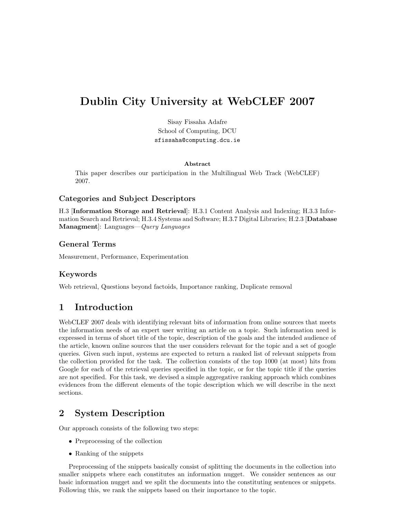# Dublin City University at WebCLEF 2007

Sisay Fissaha Adafre School of Computing, DCU sfissaha@computing.dcu.ie

#### Abstract

This paper describes our participation in the Multilingual Web Track (WebCLEF) 2007.

#### Categories and Subject Descriptors

H.3 [Information Storage and Retrieval]: H.3.1 Content Analysis and Indexing; H.3.3 Information Search and Retrieval; H.3.4 Systems and Software; H.3.7 Digital Libraries; H.2.3 [Database Managment]: Languages—Query Languages

### General Terms

Measurement, Performance, Experimentation

### Keywords

Web retrieval, Questions beyond factoids, Importance ranking, Duplicate removal

# <span id="page-0-0"></span>1 Introduction

WebCLEF 2007 deals with identifying relevant bits of information from online sources that meets the information needs of an expert user writing an article on a topic. Such information need is expressed in terms of short title of the topic, description of the goals and the intended audience of the article, known online sources that the user considers relevant for the topic and a set of google queries. Given such input, systems are expected to return a ranked list of relevant snippets from the collection provided for the task. The collection consists of the top 1000 (at most) hits from Google for each of the retrieval queries specified in the topic, or for the topic title if the queries are not specified. For this task, we devised a simple aggregative ranking approach which combines evidences from the different elements of the topic description which we will describe in the next sections.

# 2 System Description

Our approach consists of the following two steps:

- Preprocessing of the collection
- Ranking of the snippets

Preprocessing of the snippets basically consist of splitting the documents in the collection into smaller snippets where each constitutes an information nugget. We consider sentences as our basic information nugget and we split the documents into the constituting sentences or snippets. Following this, we rank the snippets based on their importance to the topic.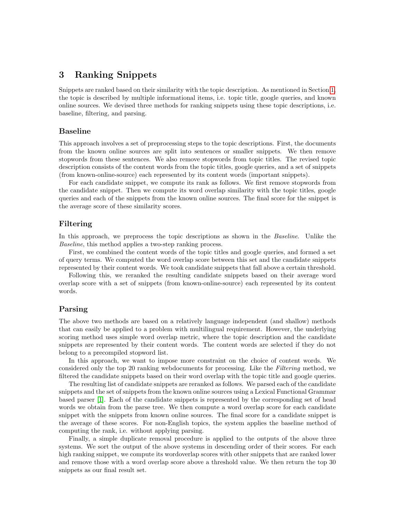### 3 Ranking Snippets

Snippets are ranked based on their similarity with the topic description. As mentioned in Section [1,](#page-0-0) the topic is described by multiple informational items, i.e. topic title, google queries, and known online sources. We devised three methods for ranking snippets using these topic descriptions, i.e. baseline, filtering, and parsing.

#### Baseline

This approach involves a set of preprocessing steps to the topic descriptions. First, the documents from the known online sources are split into sentences or smaller snippets. We then remove stopwords from these sentences. We also remove stopwords from topic titles. The revised topic description consists of the content words from the topic titles, google queries, and a set of snippets (from known-online-source) each represented by its content words (important snippets).

For each candidate snippet, we compute its rank as follows. We first remove stopwords from the candidate snippet. Then we compute its word overlap similarity with the topic titles, google queries and each of the snippets from the known online sources. The final score for the snippet is the average score of these similarity scores.

#### Filtering

In this approach, we preprocess the topic descriptions as shown in the *Baseline*. Unlike the Baseline, this method applies a two-step ranking process.

First, we combined the content words of the topic titles and google queries, and formed a set of query terms. We computed the word overlap score between this set and the candidate snippets represented by their content words. We took candidate snippets that fall above a certain threshold.

Following this, we reranked the resulting candidate snippets based on their average word overlap score with a set of snippets (from known-online-source) each represented by its content words.

#### Parsing

The above two methods are based on a relatively language independent (and shallow) methods that can easily be applied to a problem with multilingual requirement. However, the underlying scoring method uses simple word overlap metric, where the topic description and the candidate snippets are represented by their content words. The content words are selected if they do not belong to a precompiled stopword list.

In this approach, we want to impose more constraint on the choice of content words. We considered only the top 20 ranking webdocuments for processing. Like the Filtering method, we filtered the candidate snippets based on their word overlap with the topic title and google queries.

The resulting list of candidate snippets are reranked as follows. We parsed each of the candidate snippets and the set of snippets from the known online sources using a Lexical Functional Grammar based parser [\[1\]](#page-2-0). Each of the candidate snippets is represented by the corresponding set of head words we obtain from the parse tree. We then compute a word overlap score for each candidate snippet with the snippets from known online sources. The final score for a candidate snippet is the average of these scores. For non-English topics, the system applies the baseline method of computing the rank, i.e. without applying parsing.

Finally, a simple duplicate removal procedure is applied to the outputs of the above three systems. We sort the output of the above systems in descending order of their scores. For each high ranking snippet, we compute its wordoverlap scores with other snippets that are ranked lower and remove those with a word overlap score above a threshold value. We then return the top 30 snippets as our final result set.